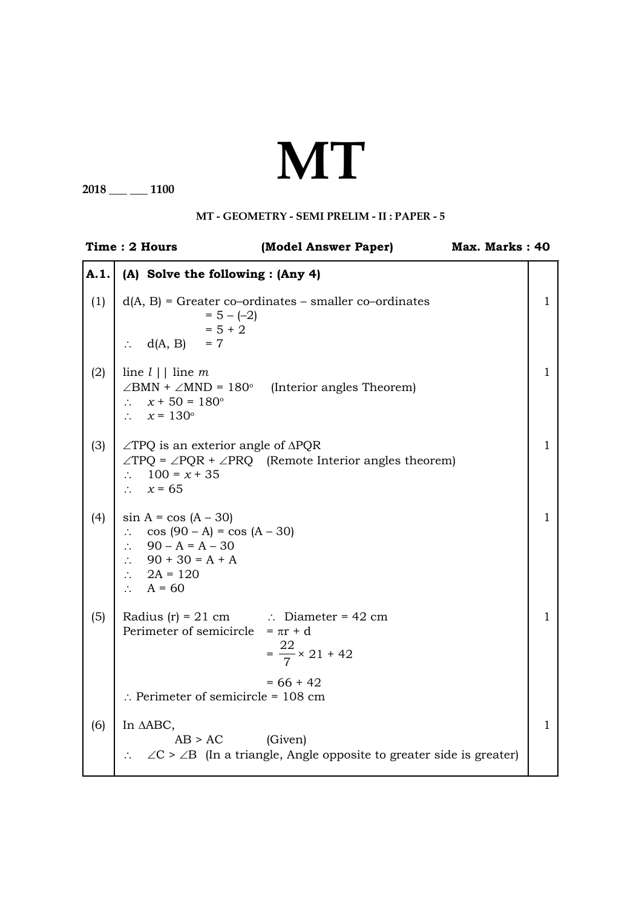## **MT**

**2018 \_\_\_ \_\_\_ 1100**

## **MT - Geometry - SEMI PRELIM - II : PAPER - 5**

|      | Time: 2 Hours                                                                                                                                                                        | (Model Answer Paper)                                                                          | Max. Marks: 40 |              |
|------|--------------------------------------------------------------------------------------------------------------------------------------------------------------------------------------|-----------------------------------------------------------------------------------------------|----------------|--------------|
| A.1. | (A) Solve the following : (Any 4)                                                                                                                                                    |                                                                                               |                |              |
| (1)  | $= 5 - (-2)$<br>$= 5 + 2$<br>$\therefore$ d(A, B) = 7                                                                                                                                | $d(A, B)$ = Greater co-ordinates – smaller co-ordinates                                       |                | 1            |
| (2)  | line $l \mid \cdot \mid$ line m<br>$\therefore$ $x + 50 = 180^{\circ}$<br>$\therefore$ $x = 130^{\circ}$                                                                             | $\angle$ BMN + $\angle$ MND = 180 <sup>°</sup> (Interior angles Theorem)                      |                | $\mathbf{1}$ |
| (3)  | $\angle$ TPQ is an exterior angle of $\triangle$ PQR<br>$\therefore$ 100 = x + 35<br>$\therefore$ $x = 65$                                                                           | $\angle TPQ = \angle PQR + \angle PRQ$ (Remote Interior angles theorem)                       |                | $\mathbf{1}$ |
| (4)  | $\sin A = \cos (A - 30)$<br>$\therefore$ cos (90 – A) = cos (A – 30)<br>$\therefore$ 90 – A = A – 30<br>$\therefore$ 90 + 30 = A + A<br>$\therefore$ 2A = 120<br>$\therefore$ A = 60 |                                                                                               |                | 1            |
| (5)  | Radius $(r) = 21$ cm $\therefore$ Diameter = 42 cm<br>Perimeter of semicircle = $\pi r + d$                                                                                          | $=\frac{22}{7} \times 21 + 42$                                                                |                | 1            |
|      | $\therefore$ Perimeter of semicircle = 108 cm                                                                                                                                        | $= 66 + 42$                                                                                   |                |              |
| (6)  | In AABC,<br>$AB > AC$ (Given)                                                                                                                                                        | $\therefore$ $\angle C > \angle B$ (In a triangle, Angle opposite to greater side is greater) |                | $\mathbf{1}$ |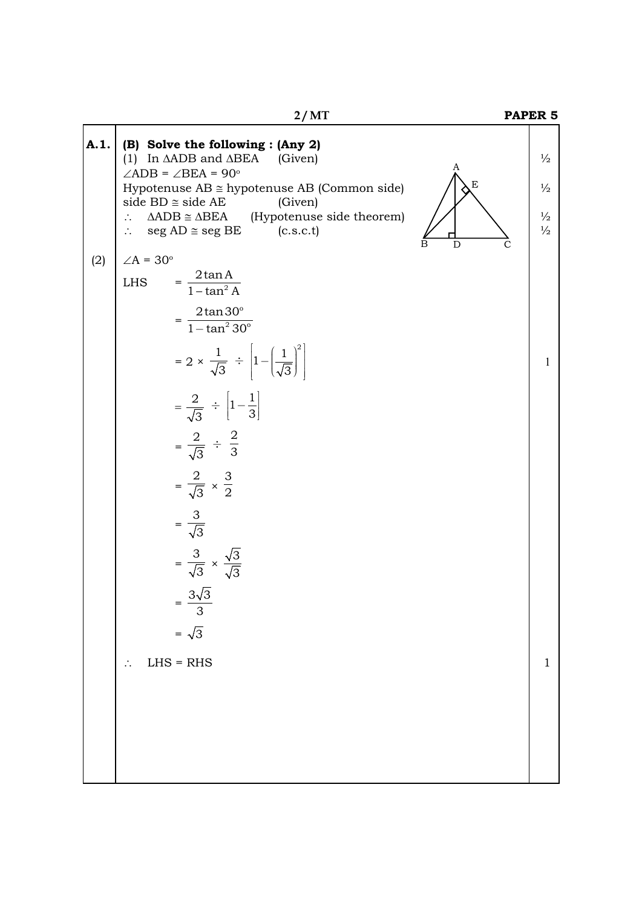|      | 2/MT                                                                                                                                                                                                                                                                                                                                                                                                                                                                                               |                  | PAPER <sub>5</sub>                                               |
|------|----------------------------------------------------------------------------------------------------------------------------------------------------------------------------------------------------------------------------------------------------------------------------------------------------------------------------------------------------------------------------------------------------------------------------------------------------------------------------------------------------|------------------|------------------------------------------------------------------|
| A.1. | (B) Solve the following : (Any 2)<br>(1) In $\triangle ADB$ and $\triangle BEA$ (Given)<br>$\angle$ ADB = $\angle$ BEA = 90°<br>Hypotenuse $AB \cong$ hypotenuse AB (Common side)<br>side $BD \cong side AE$<br>(Given)<br>$\triangle ADB \cong \triangle BEA$ (Hypotenuse side theorem)<br>$\therefore$<br>$seg AD \cong seg BE$<br>(c.s.c.t)                                                                                                                                                     | A<br>E<br>D<br>C | $\frac{1}{2}$<br>$\frac{1}{2}$<br>$\frac{1}{2}$<br>$\frac{1}{2}$ |
| (2)  | $\angle A = 30^\circ$<br>$= \frac{2\tan A}{1-\tan^2 A}$<br><b>LHS</b><br>$=\frac{2\tan 30^{\circ}}{1-\tan^2 30^{\circ}}$<br>$= 2 \times \frac{1}{\sqrt{3}} \div \left  1 - \left( \frac{1}{\sqrt{3}} \right)^2 \right $<br>$=\frac{2}{\sqrt{3}} \div \left[1-\frac{1}{3}\right]$<br>$=\frac{2}{\sqrt{3}} \div \frac{2}{3}$<br>$=\frac{2}{\sqrt{3}} \times \frac{3}{2}$<br>$=\frac{3}{\sqrt{3}}$<br>$=\frac{3}{\sqrt{3}} \times \frac{\sqrt{3}}{\sqrt{3}}$<br>$=\frac{3\sqrt{3}}{3}$<br>$=\sqrt{3}$ |                  | 1                                                                |
|      | $LHS = RHS$                                                                                                                                                                                                                                                                                                                                                                                                                                                                                        |                  | 1                                                                |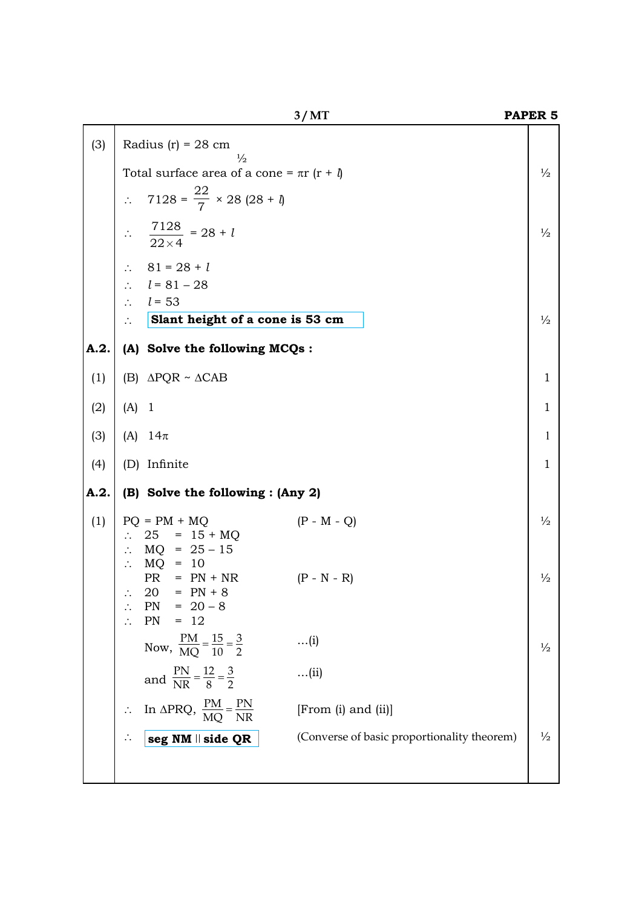|      |                                                                                         | 3/MT                                        | PAPER <sub>5</sub> |
|------|-----------------------------------------------------------------------------------------|---------------------------------------------|--------------------|
| (3)  | Radius $(r) = 28$ cm<br>$\frac{1}{2}$                                                   |                                             |                    |
|      | Total surface area of a cone = $\pi r$ ( $r + \theta$ )                                 |                                             | $\frac{1}{2}$      |
|      | $7128 = \frac{22}{7} \times 28 (28 + 1)$<br>$\ddot{\cdot}$                              |                                             |                    |
|      | $\therefore \quad \frac{7128}{22 \times 4} = 28 + l$                                    |                                             | $\frac{1}{2}$      |
|      | $81 = 28 + l$<br>$\ddot{\cdot}$ .                                                       |                                             |                    |
|      | $\therefore$ $l = 81 - 28$                                                              |                                             |                    |
|      | $l = 53$<br>$\therefore$<br>Slant height of a cone is 53 cm<br>$\ddot{\cdot}$           |                                             | $\frac{1}{2}$      |
|      |                                                                                         |                                             |                    |
| A.2. | (A) Solve the following MCQs:                                                           |                                             |                    |
| (1)  | (B) $\triangle PQR \sim \triangle CAB$                                                  |                                             | $\mathbf{1}$       |
| (2)  | $(A)$ 1                                                                                 |                                             | $\mathbf{1}$       |
| (3)  | (A) $14\pi$                                                                             |                                             | 1                  |
| (4)  | (D) Infinite                                                                            |                                             | $\mathbf{1}$       |
| A.2. | (B) Solve the following : (Any 2)                                                       |                                             |                    |
| (1)  | $PQ = PM + MQ$<br>$\therefore$ 25 = 15 + MQ<br>: $MQ = 25 - 15$<br>$\therefore$ MQ = 10 | $(P - M - Q)$                               | $\frac{1}{2}$      |
|      | PR<br>$= PN + NR$<br>$20 = PN + 8$<br>$PN = 20 - 8$<br>$PN = 12$                        | $(P - N - R)$                               | $\frac{1}{2}$      |
|      | Now, $\frac{PM}{MQ} = \frac{15}{10} = \frac{3}{2}$                                      | $\dots(i)$                                  | $\frac{1}{2}$      |
|      | and $\frac{PN}{NR} = \frac{12}{8} = \frac{3}{2}$                                        | $\dots$ (ii)                                |                    |
|      | In $\triangle PRQ$ , $\frac{PM}{MQ} = \frac{PN}{NR}$                                    | [From (i) and (ii)]                         |                    |
|      | $seg$ NM $\parallel$ side QR                                                            | (Converse of basic proportionality theorem) | $\frac{1}{2}$      |
|      |                                                                                         |                                             |                    |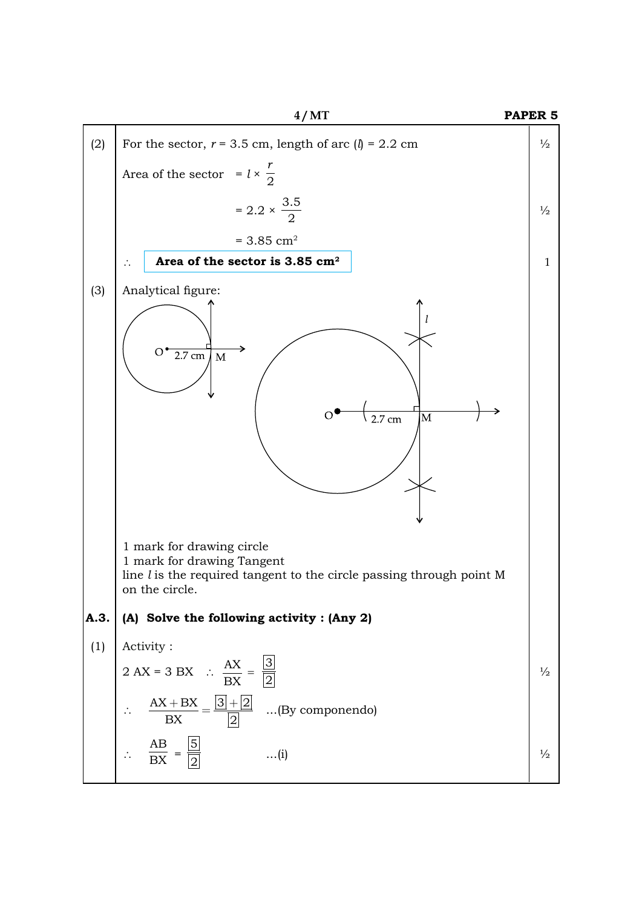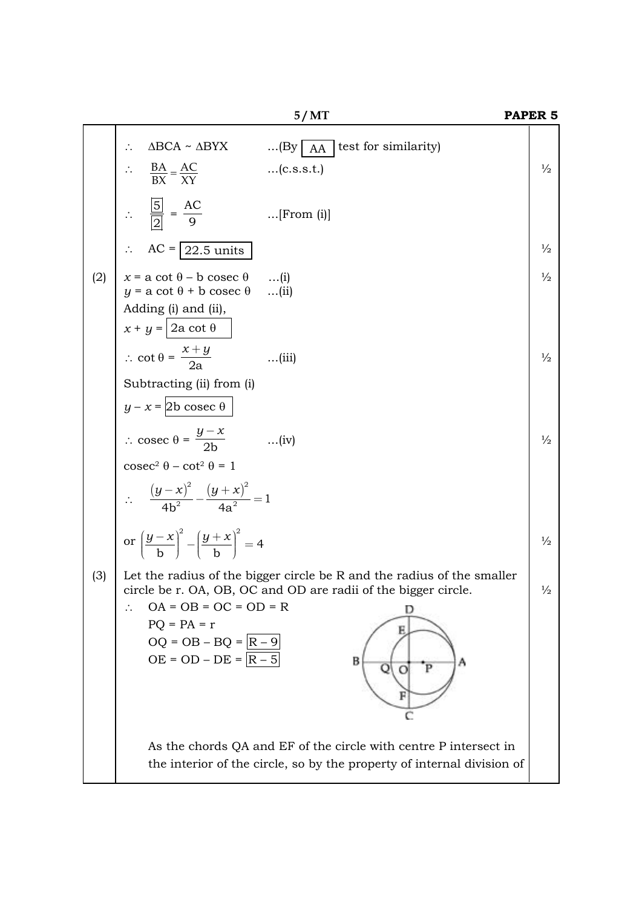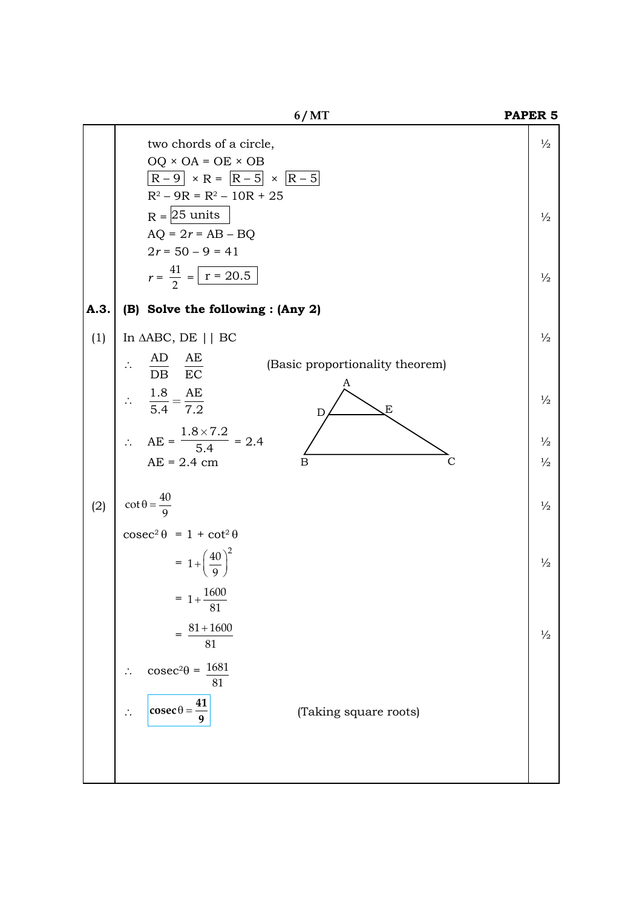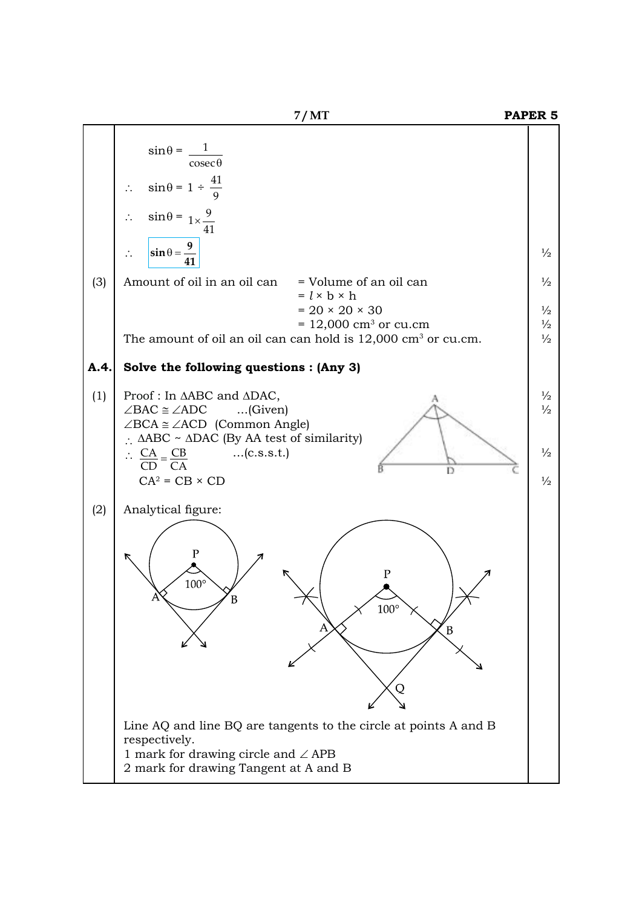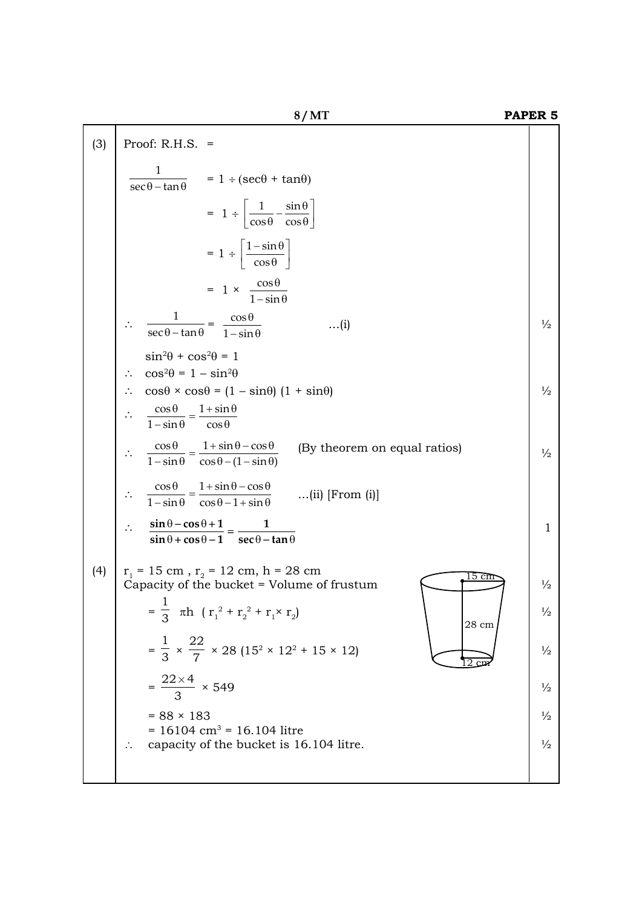|     | 8/MT                                                                                                                                  | PAPER <sub>5</sub> |
|-----|---------------------------------------------------------------------------------------------------------------------------------------|--------------------|
| (3) | Proof: $R.H.S. =$                                                                                                                     |                    |
|     | $\frac{1}{\sec \theta - \tan \theta}$ = 1 ÷ (sec $\theta$ + tan $\theta$ )                                                            |                    |
|     | $= 1 \div \left  \frac{1}{\cos \theta} - \frac{\sin \theta}{\cos \theta} \right $                                                     |                    |
|     | $= 1 \div \left[ \frac{1 - \sin \theta}{\cos \theta} \right]$                                                                         |                    |
|     | $= 1 \times \frac{\cos \theta}{1 - \sin \theta}$                                                                                      |                    |
|     | $\frac{1}{\sec\theta - \tan\theta} = \frac{\cos\theta}{1 - \sin\theta}$<br>$\dots(i)$                                                 | $\frac{1}{2}$      |
|     | $\sin^2\theta + \cos^2\theta = 1$                                                                                                     |                    |
|     | $\cos^2\theta = 1 - \sin^2\theta$<br>$\therefore \cos\theta \times \cos\theta = (1 - \sin\theta) (1 + \sin\theta)$                    | $\frac{1}{2}$      |
|     | $\frac{\cos\theta}{1-\sin\theta} = \frac{1+\sin\theta}{\cos\theta}$                                                                   |                    |
|     | $\frac{\cos\theta}{1-\sin\theta} = \frac{1+\sin\theta-\cos\theta}{\cos\theta-(1-\sin\theta)}$<br>(By theorem on equal ratios)         | $\frac{1}{2}$      |
|     | $\frac{\cos\theta}{1-\sin\theta} = \frac{1+\sin\theta-\cos\theta}{\cos\theta-1+\sin\theta}$<br>$(ii)$ [From $(i)$ ]                   |                    |
|     | $\frac{\sin \theta - \cos \theta + 1}{\theta} = \frac{1}{\cos \theta}$<br>$\sin \theta + \cos \theta - 1 = \sec \theta - \tan \theta$ | 1                  |
| (4) | $r_1 = 15$ cm, $r_2 = 12$ cm, h = 28 cm                                                                                               |                    |
|     | Capacity of the bucket = Volume of frustum                                                                                            | $\frac{1}{2}$      |
|     | $=\frac{1}{3}$ $\pi h$ $(r_1^2 + r_2^2 + r_1 \times r_2)$<br>28 cm                                                                    | $\frac{1}{2}$      |
|     | $=\frac{1}{3} \times \frac{22}{7} \times 28 (15^2 \times 12^2 + 15 \times 12)$                                                        | $\frac{1}{2}$      |
|     | $=\frac{22\times4}{3} \times 549$                                                                                                     | $\frac{1}{2}$      |
|     | $= 88 \times 183$                                                                                                                     | $\frac{1}{2}$      |
|     | $= 16104$ cm <sup>3</sup> = 16.104 litre<br>capacity of the bucket is 16.104 litre.                                                   | $\frac{1}{2}$      |
|     |                                                                                                                                       |                    |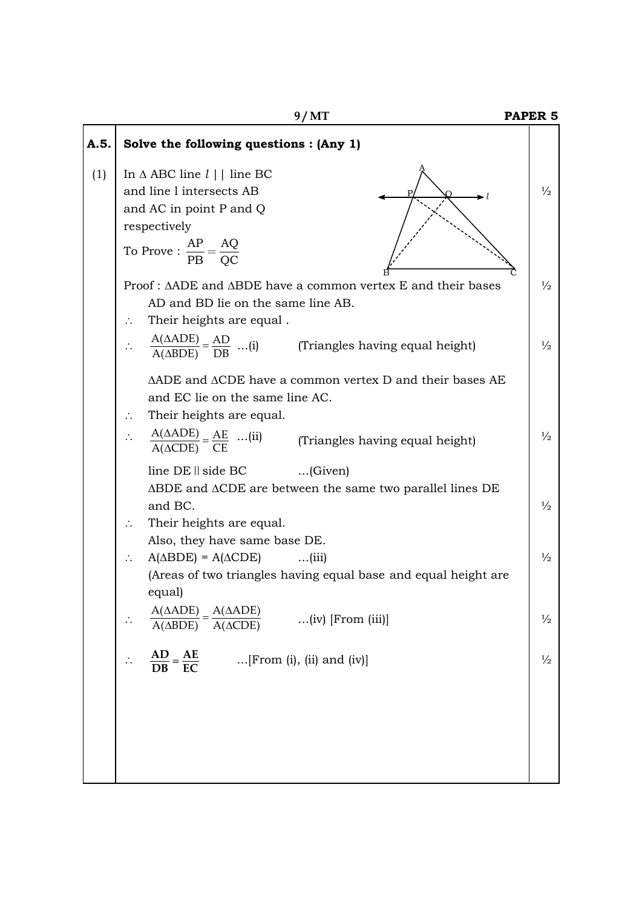|      | 9/MT                                                                                                                                                             | PAPER <sub>5</sub> |
|------|------------------------------------------------------------------------------------------------------------------------------------------------------------------|--------------------|
| A.5. | Solve the following questions : (Any 1)                                                                                                                          |                    |
| (1)  | In $\triangle$ ABC line $l$     line BC<br>and line 1 intersects AB<br>and AC in point P and Q<br>respectively<br>To Prove : $\frac{AP}{PB} = \frac{AQ}{OC}$     | $\frac{1}{2}$      |
|      | Proof: ΔADE and ΔBDE have a common vertex E and their bases<br>AD and BD lie on the same line AB.<br>Their heights are equal.<br>$\ddot{\phantom{a}}$ .          | $\frac{1}{2}$      |
|      | $\frac{A(\triangle ADE)}{A(\triangle BDE)} = \frac{AD}{DB} \dots (i)$<br>(Triangles having equal height)                                                         | $\frac{1}{2}$      |
|      | $\triangle ADE$ and $\triangle CDE$ have a common vertex D and their bases AE<br>and EC lie on the same line AC.<br>Their heights are equal.<br>$\ddot{\cdot}$ . |                    |
|      | $\frac{A(\Delta ADE)}{A(\Delta CDE)} = \frac{AE}{CE}$ (ii) (Triangles having equal height)                                                                       | $\frac{1}{2}$      |
|      | line DE    side BC<br>$\ldots$ (Given)<br>$\triangle$ BDE and $\triangle$ CDE are between the same two parallel lines DE<br>and BC.<br>Their heights are equal.  | $\frac{1}{2}$      |
|      | Also, they have same base DE.<br>$A(\triangle BDE) = A(\triangle CDE)$ (iii)<br>∴<br>(Areas of two triangles having equal base and equal height are<br>equal)    | $\frac{1}{2}$      |
|      | $\frac{A(\triangle ADE)}{A(\triangle ADE)}$<br>$(iv)$ [From $(iii)$ ]<br>$A(\triangle CDE)$<br>$A(\triangle BDE)$                                                | $\frac{1}{2}$      |
|      | $\frac{AD}{DB} = \frac{AE}{EC}$<br>$[From (i), (ii) and (iv)]$                                                                                                   | $\frac{1}{2}$      |
|      |                                                                                                                                                                  |                    |
|      |                                                                                                                                                                  |                    |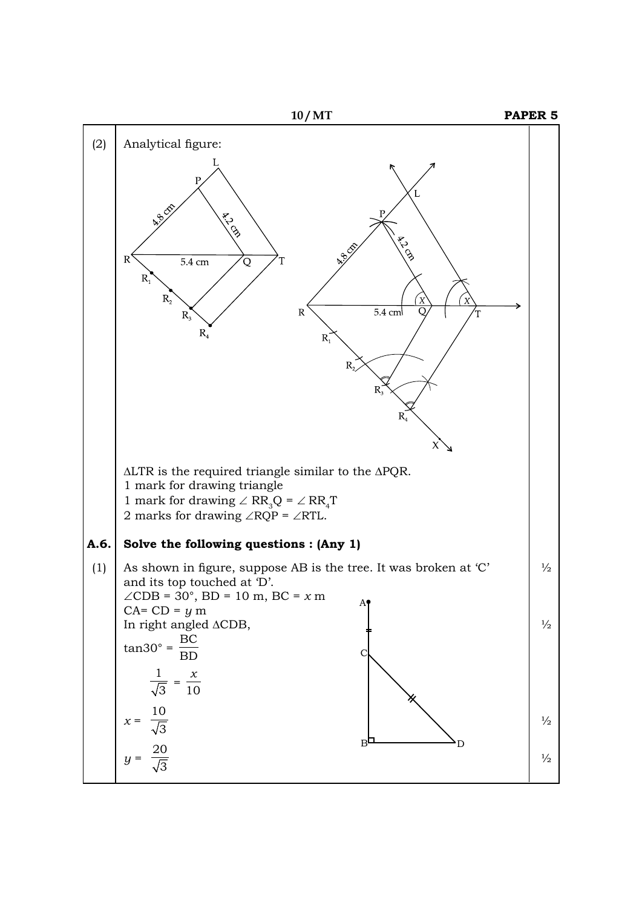